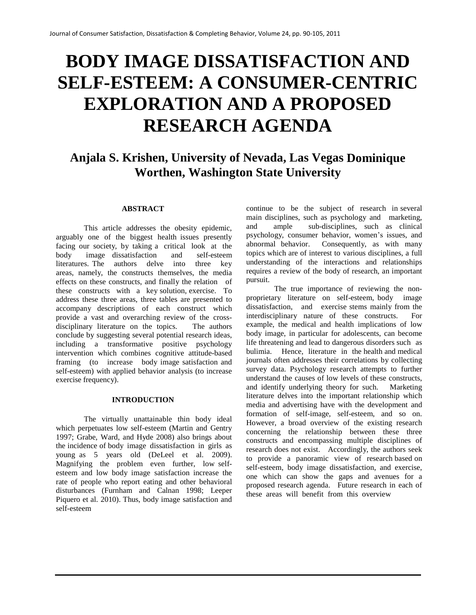# **BODY IMAGE DISSATISFACTION AND SELF-ESTEEM: A CONSUMER-CENTRIC EXPLORATION AND A PROPOSED RESEARCH AGENDA**

## **Anjala S. Krishen, University of Nevada, Las Vegas Dominique Worthen, Washington State University**

#### **ABSTRACT**

This article addresses the obesity epidemic, arguably one of the biggest health issues presently facing our society, by taking a critical look at the body image dissatisfaction and self-esteem literatures. The authors delve into three key areas, namely, the constructs themselves, the media effects on these constructs, and finally the relation of these constructs with a key solution, exercise. To address these three areas, three tables are presented to accompany descriptions of each construct which provide a vast and overarching review of the crossdisciplinary literature on the topics. The authors conclude by suggesting several potential research ideas, including a transformative positive psychology intervention which combines cognitive attitude-based framing (to increase body image satisfaction and self-esteem) with applied behavior analysis (to increase exercise frequency).

#### **INTRODUCTION**

The virtually unattainable thin body ideal which perpetuates low self-esteem (Martin and Gentry 1997; Grabe, Ward, and Hyde 2008) also brings about the incidence of body image dissatisfaction in girls as young as 5 years old (DeLeel et al. 2009). Magnifying the problem even further, low selfesteem and low body image satisfaction increase the rate of people who report eating and other behavioral disturbances (Furnham and Calnan 1998; Leeper Piquero et al. 2010). Thus, body image satisfaction and self-esteem

continue to be the subject of research in several main disciplines, such as psychology and marketing, and ample sub-disciplines, such as clinical psychology, consumer behavior, women's issues, and abnormal behavior. Consequently, as with many topics which are of interest to various disciplines, a full understanding of the interactions and relationships requires a review of the body of research, an important pursuit.

The true importance of reviewing the nonproprietary literature on self-esteem, body image dissatisfaction, and exercise stems mainly from the interdisciplinary nature of these constructs. For example, the medical and health implications of low body image, in particular for adolescents, can become life threatening and lead to dangerous disorders such as bulimia. Hence, literature in the health and medical journals often addresses their correlations by collecting survey data. Psychology research attempts to further understand the causes of low levels of these constructs, and identify underlying theory for such. Marketing literature delves into the important relationship which media and advertising have with the development and formation of self-image, self-esteem, and so on. However, a broad overview of the existing research concerning the relationship between these three constructs and encompassing multiple disciplines of research does not exist. Accordingly, the authors seek to provide a panoramic view of research based on self-esteem, body image dissatisfaction, and exercise, one which can show the gaps and avenues for a proposed research agenda. Future research in each of these areas will benefit from this overview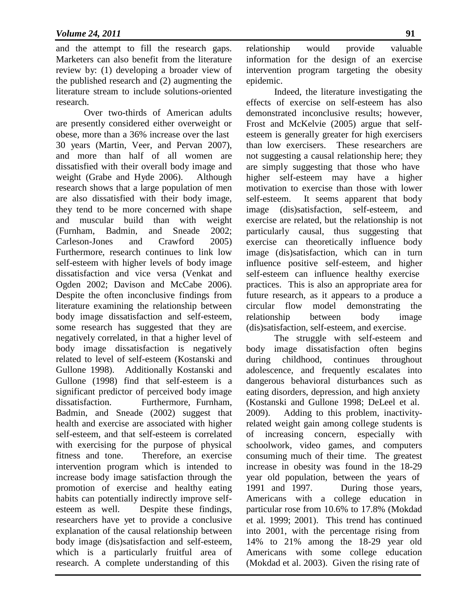and the attempt to fill the research gaps. Marketers can also benefit from the literature review by: (1) developing a broader view of the published research and (2) augmenting the literature stream to include solutions-oriented research.

Over two-thirds of American adults are presently considered either overweight or obese, more than a 36% increase over the last 30 years (Martin, Veer, and Pervan 2007), and more than half of all women are dissatisfied with their overall body image and weight (Grabe and Hyde 2006). Although research shows that a large population of men are also dissatisfied with their body image, they tend to be more concerned with shape and muscular build than with weight (Furnham, Badmin, and Sneade 2002; Carleson-Jones and Crawford 2005) Furthermore, research continues to link low self-esteem with higher levels of body image dissatisfaction and vice versa (Venkat and Ogden 2002; Davison and McCabe 2006). Despite the often inconclusive findings from literature examining the relationship between body image dissatisfaction and self-esteem, some research has suggested that they are negatively correlated, in that a higher level of body image dissatisfaction is negatively related to level of self-esteem (Kostanski and Gullone 1998). Additionally Kostanski and Gullone (1998) find that self-esteem is a significant predictor of perceived body image dissatisfaction. Furthermore, Furnham, Badmin, and Sneade (2002) suggest that health and exercise are associated with higher self-esteem, and that self-esteem is correlated with exercising for the purpose of physical fitness and tone. Therefore, an exercise intervention program which is intended to increase body image satisfaction through the promotion of exercise and healthy eating habits can potentially indirectly improve selfesteem as well. Despite these findings, researchers have yet to provide a conclusive explanation of the causal relationship between body image (dis)satisfaction and self-esteem, which is a particularly fruitful area of research. A complete understanding of this

relationship would provide valuable information for the design of an exercise intervention program targeting the obesity epidemic.

Indeed, the literature investigating the effects of exercise on self-esteem has also demonstrated inconclusive results; however, Frost and McKelvie (2005) argue that selfesteem is generally greater for high exercisers than low exercisers. These researchers are not suggesting a causal relationship here; they are simply suggesting that those who have higher self-esteem may have a higher motivation to exercise than those with lower self-esteem. It seems apparent that body image (dis)satisfaction, self-esteem, and exercise are related, but the relationship is not particularly causal, thus suggesting that exercise can theoretically influence body image (dis)satisfaction, which can in turn influence positive self-esteem, and higher self-esteem can influence healthy exercise practices. This is also an appropriate area for future research, as it appears to a produce a circular flow model demonstrating the relationship between body image (dis)satisfaction, self-esteem, and exercise.

The struggle with self-esteem and body image dissatisfaction often begins during childhood, continues throughout adolescence, and frequently escalates into dangerous behavioral disturbances such as eating disorders, depression, and high anxiety (Kostanski and Gullone 1998; DeLeel et al. 2009). Adding to this problem, inactivityrelated weight gain among college students is of increasing concern, especially with schoolwork, video games, and computers consuming much of their time. The greatest increase in obesity was found in the 18-29 year old population, between the years of 1991 and 1997. During those years, Americans with a college education in particular rose from 10.6% to 17.8% (Mokdad et al. 1999; 2001). This trend has continued into 2001, with the percentage rising from 14% to 21% among the 18-29 year old Americans with some college education (Mokdad et al. 2003). Given the rising rate of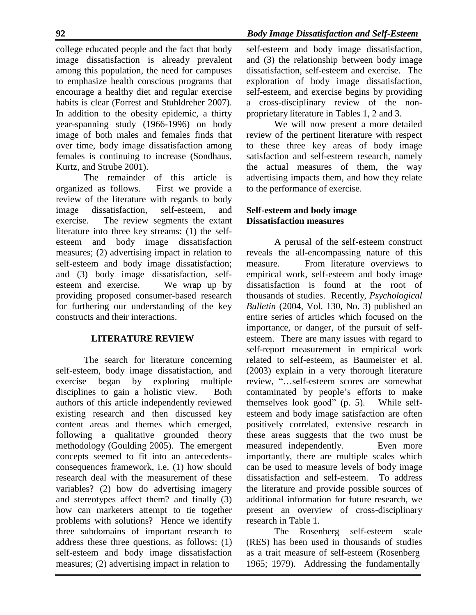year-spanning study (1966-1996) on body image of both males and females finds that over time, body image dissatisfaction among females is continuing to increase (Sondhaus, Kurtz, and Strube 2001).

The remainder of this article is organized as follows. First we provide a review of the literature with regards to body image dissatisfaction, self-esteem, and exercise. The review segments the extant literature into three key streams: (1) the selfesteem and body image dissatisfaction measures; (2) advertising impact in relation to self-esteem and body image dissatisfaction; and (3) body image dissatisfaction, selfesteem and exercise. We wrap up by providing proposed consumer-based research for furthering our understanding of the key constructs and their interactions.

#### **LITERATURE REVIEW**

The search for literature concerning self-esteem, body image dissatisfaction, and exercise began by exploring multiple disciplines to gain a holistic view. Both authors of this article independently reviewed existing research and then discussed key content areas and themes which emerged, following a qualitative grounded theory methodology (Goulding 2005). The emergent concepts seemed to fit into an antecedentsconsequences framework, i.e. (1) how should research deal with the measurement of these variables? (2) how do advertising imagery and stereotypes affect them? and finally (3) how can marketers attempt to tie together problems with solutions? Hence we identify three subdomains of important research to address these three questions, as follows: (1) self-esteem and body image dissatisfaction measures; (2) advertising impact in relation to

self-esteem and body image dissatisfaction, and (3) the relationship between body image dissatisfaction, self-esteem and exercise. The exploration of body image dissatisfaction, self-esteem, and exercise begins by providing a cross-disciplinary review of the nonproprietary literature in Tables 1, 2 and 3.

We will now present a more detailed review of the pertinent literature with respect to these three key areas of body image satisfaction and self-esteem research, namely the actual measures of them, the way advertising impacts them, and how they relate to the performance of exercise.

## **Self-esteem and body image Dissatisfaction measures**

A perusal of the self-esteem construct reveals the all-encompassing nature of this measure. From literature overviews to empirical work, self-esteem and body image dissatisfaction is found at the root of thousands of studies. Recently, *Psychological Bulletin* (2004, Vol. 130, No. 3) published an entire series of articles which focused on the importance, or danger, of the pursuit of selfesteem. There are many issues with regard to self-report measurement in empirical work related to self-esteem, as Baumeister et al. (2003) explain in a very thorough literature review, "…self-esteem scores are somewhat contaminated by people's efforts to make themselves look good" (p. 5). While selfesteem and body image satisfaction are often positively correlated, extensive research in these areas suggests that the two must be measured independently. Even more importantly, there are multiple scales which can be used to measure levels of body image dissatisfaction and self-esteem. To address the literature and provide possible sources of additional information for future research, we present an overview of cross-disciplinary research in Table 1.

The Rosenberg self-esteem scale (RES) has been used in thousands of studies as a trait measure of self-esteem (Rosenberg 1965; 1979). Addressing the fundamentally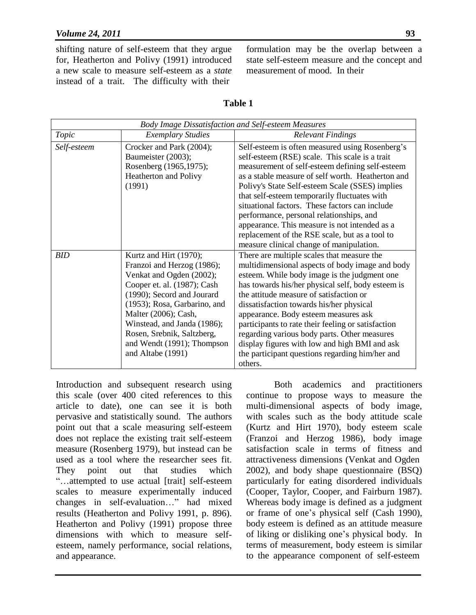shifting nature of self-esteem that they argue for, Heatherton and Polivy (1991) introduced a new scale to measure self-esteem as a *state*  instead of a trait. The difficulty with their

formulation may be the overlap between a state self-esteem measure and the concept and measurement of mood. In their

| п<br>Table |  |
|------------|--|
|------------|--|

| Body Image Dissatisfaction and Self-esteem Measures |                              |                                                    |  |
|-----------------------------------------------------|------------------------------|----------------------------------------------------|--|
| Topic                                               | <b>Exemplary Studies</b>     | <b>Relevant Findings</b>                           |  |
| Self-esteem                                         | Crocker and Park (2004);     | Self-esteem is often measured using Rosenberg's    |  |
|                                                     | Baumeister (2003);           | self-esteem (RSE) scale. This scale is a trait     |  |
|                                                     | Rosenberg (1965,1975);       | measurement of self-esteem defining self-esteem    |  |
|                                                     | Heatherton and Polivy        | as a stable measure of self worth. Heatherton and  |  |
|                                                     | (1991)                       | Polivy's State Self-esteem Scale (SSES) implies    |  |
|                                                     |                              | that self-esteem temporarily fluctuates with       |  |
|                                                     |                              | situational factors. These factors can include     |  |
|                                                     |                              | performance, personal relationships, and           |  |
|                                                     |                              | appearance. This measure is not intended as a      |  |
|                                                     |                              | replacement of the RSE scale, but as a tool to     |  |
|                                                     |                              | measure clinical change of manipulation.           |  |
| <b>BID</b>                                          | Kurtz and Hirt (1970);       | There are multiple scales that measure the         |  |
|                                                     | Franzoi and Herzog (1986);   | multidimensional aspects of body image and body    |  |
|                                                     | Venkat and Ogden (2002);     | esteem. While body image is the judgment one       |  |
|                                                     | Cooper et. al. (1987); Cash  | has towards his/her physical self, body esteem is  |  |
|                                                     | (1990); Secord and Jourard   | the attitude measure of satisfaction or            |  |
|                                                     | (1953); Rosa, Garbarino, and | dissatisfaction towards his/her physical           |  |
|                                                     | Malter (2006); Cash,         | appearance. Body esteem measures ask               |  |
|                                                     | Winstead, and Janda (1986);  | participants to rate their feeling or satisfaction |  |
|                                                     | Rosen, Srebnik, Saltzberg,   | regarding various body parts. Other measures       |  |
|                                                     | and Wendt (1991); Thompson   | display figures with low and high BMI and ask      |  |
|                                                     | and Altabe (1991)            | the participant questions regarding him/her and    |  |
|                                                     |                              | others.                                            |  |

Introduction and subsequent research using this scale (over 400 cited references to this article to date), one can see it is both pervasive and statistically sound. The authors point out that a scale measuring self-esteem does not replace the existing trait self-esteem measure (Rosenberg 1979), but instead can be used as a tool where the researcher sees fit. They point out that studies which "…attempted to use actual [trait] self-esteem scales to measure experimentally induced changes in self-evaluation…" had mixed results (Heatherton and Polivy 1991, p. 896). Heatherton and Polivy (1991) propose three dimensions with which to measure selfesteem, namely performance, social relations, and appearance.

Both academics and practitioners continue to propose ways to measure the multi-dimensional aspects of body image, with scales such as the body attitude scale (Kurtz and Hirt 1970), body esteem scale (Franzoi and Herzog 1986), body image satisfaction scale in terms of fitness and attractiveness dimensions (Venkat and Ogden 2002), and body shape questionnaire (BSQ) particularly for eating disordered individuals (Cooper, Taylor, Cooper, and Fairburn 1987). Whereas body image is defined as a judgment or frame of one's physical self (Cash 1990), body esteem is defined as an attitude measure of liking or disliking one's physical body. In terms of measurement, body esteem is similar to the appearance component of self-esteem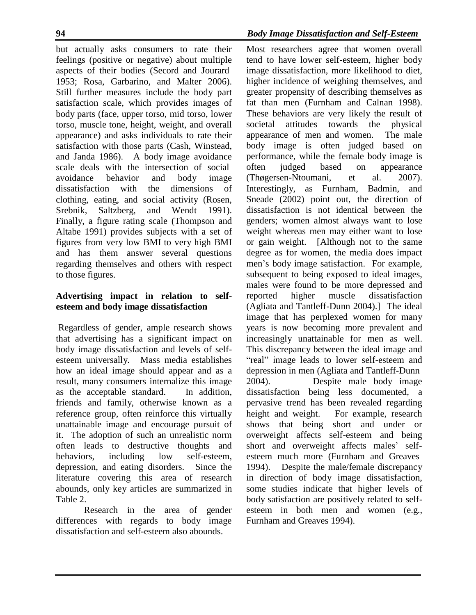but actually asks consumers to rate their feelings (positive or negative) about multiple aspects of their bodies (Secord and Jourard 1953; Rosa, Garbarino, and Malter 2006). Still further measures include the body part satisfaction scale, which provides images of body parts (face, upper torso, mid torso, lower torso, muscle tone, height, weight, and overall appearance) and asks individuals to rate their satisfaction with those parts (Cash, Winstead, and Janda 1986). A body image avoidance scale deals with the intersection of social avoidance behavior and body image dissatisfaction with the dimensions of clothing, eating, and social activity (Rosen, Srebnik, Saltzberg, and Wendt 1991). Finally, a figure rating scale (Thompson and Altabe 1991) provides subjects with a set of figures from very low BMI to very high BMI and has them answer several questions regarding themselves and others with respect to those figures.

### **Advertising impact in relation to selfesteem and body image dissatisfaction**

Regardless of gender, ample research shows that advertising has a significant impact on body image dissatisfaction and levels of selfesteem universally. Mass media establishes how an ideal image should appear and as a result, many consumers internalize this image as the acceptable standard. In addition, friends and family, otherwise known as a reference group, often reinforce this virtually unattainable image and encourage pursuit of it. The adoption of such an unrealistic norm often leads to destructive thoughts and behaviors, including low self-esteem, depression, and eating disorders. Since the literature covering this area of research abounds, only key articles are summarized in Table 2.

Research in the area of gender differences with regards to body image dissatisfaction and self-esteem also abounds.

Most researchers agree that women overall tend to have lower self-esteem, higher body image dissatisfaction, more likelihood to diet, higher incidence of weighing themselves, and greater propensity of describing themselves as fat than men (Furnham and Calnan 1998). These behaviors are very likely the result of societal attitudes towards the physical appearance of men and women. The male body image is often judged based on performance, while the female body image is often judged based on appearance (Thøgersen-Ntoumani, et al. 2007). Interestingly, as Furnham, Badmin, and Sneade (2002) point out, the direction of dissatisfaction is not identical between the genders; women almost always want to lose weight whereas men may either want to lose or gain weight. [Although not to the same degree as for women, the media does impact men's body image satisfaction. For example, subsequent to being exposed to ideal images, males were found to be more depressed and reported higher muscle dissatisfaction (Agliata and Tantleff-Dunn 2004).] The ideal image that has perplexed women for many years is now becoming more prevalent and increasingly unattainable for men as well. This discrepancy between the ideal image and "real" image leads to lower self-esteem and depression in men (Agliata and Tantleff-Dunn 2004). Despite male body image dissatisfaction being less documented, a pervasive trend has been revealed regarding height and weight. For example, research shows that being short and under or overweight affects self-esteem and being short and overweight affects males' selfesteem much more (Furnham and Greaves 1994). Despite the male/female discrepancy in direction of body image dissatisfaction, some studies indicate that higher levels of body satisfaction are positively related to selfesteem in both men and women (e.g., Furnham and Greaves 1994).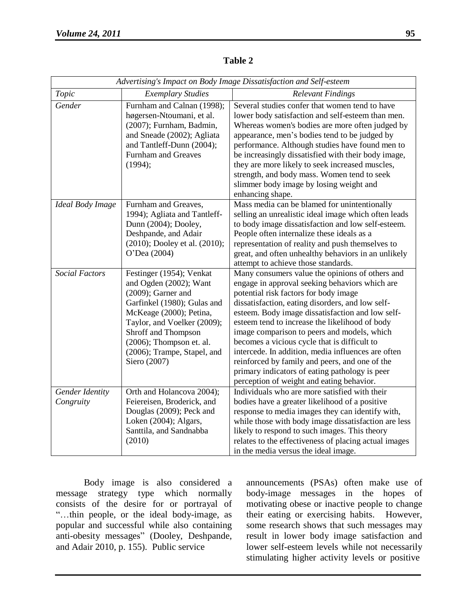| Advertising's Impact on Body Image Dissatisfaction and Self-esteem |                                                                                                                                                                                                                                                                           |                                                                                                                                                                                                                                                                                                                                                                                                                                                                                                                                                                                                            |  |
|--------------------------------------------------------------------|---------------------------------------------------------------------------------------------------------------------------------------------------------------------------------------------------------------------------------------------------------------------------|------------------------------------------------------------------------------------------------------------------------------------------------------------------------------------------------------------------------------------------------------------------------------------------------------------------------------------------------------------------------------------------------------------------------------------------------------------------------------------------------------------------------------------------------------------------------------------------------------------|--|
| Topic                                                              | <b>Exemplary Studies</b>                                                                                                                                                                                                                                                  | <b>Relevant Findings</b>                                                                                                                                                                                                                                                                                                                                                                                                                                                                                                                                                                                   |  |
| Gender                                                             | Furnham and Calnan (1998);<br>høgersen-Ntoumani, et al.<br>(2007); Furnham, Badmin,<br>and Sneade (2002); Agliata<br>and Tantleff-Dunn (2004);<br><b>Furnham and Greaves</b><br>(1994);                                                                                   | Several studies confer that women tend to have<br>lower body satisfaction and self-esteem than men.<br>Whereas women's bodies are more often judged by<br>appearance, men's bodies tend to be judged by<br>performance. Although studies have found men to<br>be increasingly dissatisfied with their body image,<br>they are more likely to seek increased muscles,<br>strength, and body mass. Women tend to seek<br>slimmer body image by losing weight and<br>enhancing shape.                                                                                                                         |  |
| Ideal Body Image                                                   | Furnham and Greaves,<br>1994); Agliata and Tantleff-<br>Dunn (2004); Dooley,<br>Deshpande, and Adair<br>(2010); Dooley et al. (2010);<br>O'Dea (2004)                                                                                                                     | Mass media can be blamed for unintentionally<br>selling an unrealistic ideal image which often leads<br>to body image dissatisfaction and low self-esteem.<br>People often internalize these ideals as a<br>representation of reality and push themselves to<br>great, and often unhealthy behaviors in an unlikely<br>attempt to achieve those standards.                                                                                                                                                                                                                                                 |  |
| <b>Social Factors</b>                                              | Festinger (1954); Venkat<br>and Ogden (2002); Want<br>$(2009)$ ; Garner and<br>Garfinkel (1980); Gulas and<br>McKeage (2000); Petina,<br>Taylor, and Voelker (2009);<br>Shroff and Thompson<br>$(2006)$ ; Thompson et. al.<br>(2006); Trampe, Stapel, and<br>Siero (2007) | Many consumers value the opinions of others and<br>engage in approval seeking behaviors which are<br>potential risk factors for body image<br>dissatisfaction, eating disorders, and low self-<br>esteem. Body image dissatisfaction and low self-<br>esteem tend to increase the likelihood of body<br>image comparison to peers and models, which<br>becomes a vicious cycle that is difficult to<br>intercede. In addition, media influences are often<br>reinforced by family and peers, and one of the<br>primary indicators of eating pathology is peer<br>perception of weight and eating behavior. |  |
| Gender Identity<br>Congruity                                       | Orth and Holancova 2004);<br>Feiereisen, Broderick, and<br>Douglas (2009); Peck and<br>Loken (2004); Algars,<br>Santtila, and Sandnabba<br>(2010)                                                                                                                         | Individuals who are more satisfied with their<br>bodies have a greater likelihood of a positive<br>response to media images they can identify with,<br>while those with body image dissatisfaction are less<br>likely to respond to such images. This theory<br>relates to the effectiveness of placing actual images<br>in the media versus the ideal image.                                                                                                                                                                                                                                              |  |

**Table 2**

Body image is also considered a message strategy type which normally consists of the desire for or portrayal of "…thin people, or the ideal body-image, as popular and successful while also containing anti-obesity messages" (Dooley, Deshpande, and Adair 2010, p. 155). Public service

announcements (PSAs) often make use of body-image messages in the hopes of motivating obese or inactive people to change their eating or exercising habits. However, some research shows that such messages may result in lower body image satisfaction and lower self-esteem levels while not necessarily stimulating higher activity levels or positive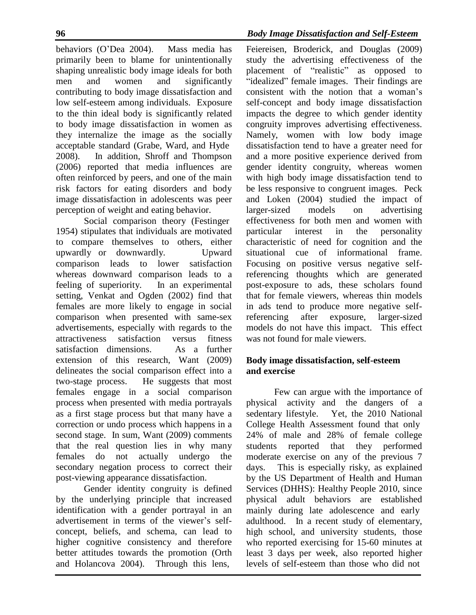behaviors (O'Dea 2004). Mass media has primarily been to blame for unintentionally shaping unrealistic body image ideals for both men and women and significantly contributing to body image dissatisfaction and low self-esteem among individuals. Exposure to the thin ideal body is significantly related to body image dissatisfaction in women as they internalize the image as the socially acceptable standard (Grabe, Ward, and Hyde 2008). In addition, Shroff and Thompson (2006) reported that media influences are often reinforced by peers, and one of the main risk factors for eating disorders and body image dissatisfaction in adolescents was peer perception of weight and eating behavior.

Social comparison theory (Festinger 1954) stipulates that individuals are motivated to compare themselves to others, either upwardly or downwardly. Upward comparison leads to lower satisfaction whereas downward comparison leads to a feeling of superiority. In an experimental setting, Venkat and Ogden (2002) find that females are more likely to engage in social comparison when presented with same-sex advertisements, especially with regards to the attractiveness satisfaction versus fitness satisfaction dimensions. As a further extension of this research, Want (2009) delineates the social comparison effect into a two-stage process. He suggests that most females engage in a social comparison process when presented with media portrayals as a first stage process but that many have a correction or undo process which happens in a second stage. In sum, Want (2009) comments that the real question lies in why many females do not actually undergo the secondary negation process to correct their post-viewing appearance dissatisfaction.

Gender identity congruity is defined by the underlying principle that increased identification with a gender portrayal in an advertisement in terms of the viewer's selfconcept, beliefs, and schema, can lead to higher cognitive consistency and therefore better attitudes towards the promotion (Orth and Holancova 2004). Through this lens,

Feiereisen, Broderick, and Douglas (2009) study the advertising effectiveness of the placement of "realistic" as opposed to "idealized" female images. Their findings are consistent with the notion that a woman's self-concept and body image dissatisfaction impacts the degree to which gender identity congruity improves advertising effectiveness. Namely, women with low body image dissatisfaction tend to have a greater need for and a more positive experience derived from gender identity congruity, whereas women with high body image dissatisfaction tend to be less responsive to congruent images. Peck and Loken (2004) studied the impact of larger-sized models on advertising effectiveness for both men and women with particular interest in the personality characteristic of need for cognition and the situational cue of informational frame. Focusing on positive versus negative selfreferencing thoughts which are generated post-exposure to ads, these scholars found that for female viewers, whereas thin models in ads tend to produce more negative selfreferencing after exposure, larger-sized models do not have this impact. This effect was not found for male viewers.

## **Body image dissatisfaction, self-esteem and exercise**

Few can argue with the importance of physical activity and the dangers of a sedentary lifestyle. Yet, the 2010 National College Health Assessment found that only 24% of male and 28% of female college students reported that they performed moderate exercise on any of the previous 7 days. This is especially risky, as explained by the US Department of Health and Human Services (DHHS): Healthy People 2010, since physical adult behaviors are established mainly during late adolescence and early adulthood. In a recent study of elementary, high school, and university students, those who reported exercising for 15-60 minutes at least 3 days per week, also reported higher levels of self-esteem than those who did not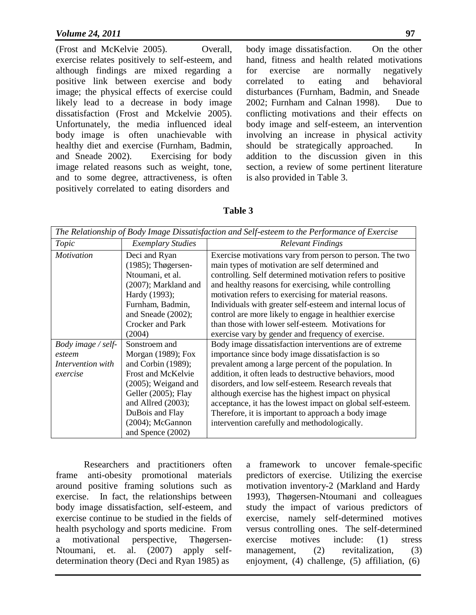(Frost and McKelvie 2005). Overall, exercise relates positively to self-esteem, and although findings are mixed regarding a positive link between exercise and body image; the physical effects of exercise could likely lead to a decrease in body image dissatisfaction (Frost and Mckelvie 2005). Unfortunately, the media influenced ideal body image is often unachievable with healthy diet and exercise (Furnham, Badmin, and Sneade 2002). Exercising for body image related reasons such as weight, tone, and to some degree, attractiveness, is often positively correlated to eating disorders and

body image dissatisfaction. On the other hand, fitness and health related motivations for exercise are normally negatively correlated to eating and behavioral disturbances (Furnham, Badmin, and Sneade 2002; Furnham and Calnan 1998). Due to conflicting motivations and their effects on body image and self-esteem, an intervention involving an increase in physical activity should be strategically approached. In addition to the discussion given in this section, a review of some pertinent literature is also provided in Table 3.

#### **Table 3**

| The Relationship of Body Image Dissatisfaction and Self-esteem to the Performance of Exercise |                                                                                                                                                                      |                                                                                                                                                                                                                                                                                                                                                                                                                                                                             |  |
|-----------------------------------------------------------------------------------------------|----------------------------------------------------------------------------------------------------------------------------------------------------------------------|-----------------------------------------------------------------------------------------------------------------------------------------------------------------------------------------------------------------------------------------------------------------------------------------------------------------------------------------------------------------------------------------------------------------------------------------------------------------------------|--|
| Topic                                                                                         | <b>Exemplary Studies</b>                                                                                                                                             | <b>Relevant Findings</b>                                                                                                                                                                                                                                                                                                                                                                                                                                                    |  |
| <b>Motivation</b>                                                                             | Deci and Ryan<br>$(1985)$ ; Thøgersen-<br>Ntoumani, et al.<br>(2007); Markland and<br>Hardy (1993);<br>Furnham, Badmin,<br>and Sneade $(2002)$ ;<br>Crocker and Park | Exercise motivations vary from person to person. The two<br>main types of motivation are self determined and<br>controlling. Self determined motivation refers to positive<br>and healthy reasons for exercising, while controlling<br>motivation refers to exercising for material reasons.<br>Individuals with greater self-esteem and internal locus of<br>control are more likely to engage in healthier exercise<br>than those with lower self-esteem. Motivations for |  |
|                                                                                               | (2004)                                                                                                                                                               | exercise vary by gender and frequency of exercise.                                                                                                                                                                                                                                                                                                                                                                                                                          |  |
| Body image / self-                                                                            | Sonstroem and                                                                                                                                                        | Body image dissatisfaction interventions are of extreme                                                                                                                                                                                                                                                                                                                                                                                                                     |  |
| esteem                                                                                        | Morgan (1989); Fox                                                                                                                                                   | importance since body image dissatisfaction is so                                                                                                                                                                                                                                                                                                                                                                                                                           |  |
| Intervention with                                                                             | and Corbin (1989);                                                                                                                                                   | prevalent among a large percent of the population. In                                                                                                                                                                                                                                                                                                                                                                                                                       |  |
| exercise                                                                                      | Frost and McKelvie                                                                                                                                                   | addition, it often leads to destructive behaviors, mood                                                                                                                                                                                                                                                                                                                                                                                                                     |  |
|                                                                                               | $(2005)$ ; Weigand and                                                                                                                                               | disorders, and low self-esteem. Research reveals that                                                                                                                                                                                                                                                                                                                                                                                                                       |  |
|                                                                                               | Geller (2005); Flay                                                                                                                                                  | although exercise has the highest impact on physical                                                                                                                                                                                                                                                                                                                                                                                                                        |  |
|                                                                                               | and Allred $(2003)$ ;                                                                                                                                                | acceptance, it has the lowest impact on global self-esteem.                                                                                                                                                                                                                                                                                                                                                                                                                 |  |
|                                                                                               | DuBois and Flay                                                                                                                                                      | Therefore, it is important to approach a body image                                                                                                                                                                                                                                                                                                                                                                                                                         |  |
|                                                                                               | $(2004)$ ; McGannon                                                                                                                                                  | intervention carefully and methodologically.                                                                                                                                                                                                                                                                                                                                                                                                                                |  |
|                                                                                               | and Spence (2002)                                                                                                                                                    |                                                                                                                                                                                                                                                                                                                                                                                                                                                                             |  |

Researchers and practitioners often frame anti-obesity promotional materials around positive framing solutions such as exercise. In fact, the relationships between body image dissatisfaction, self-esteem, and exercise continue to be studied in the fields of health psychology and sports medicine. From a motivational perspective, Thøgersen-Ntoumani, et. al. (2007) apply selfdetermination theory (Deci and Ryan 1985) as

a framework to uncover female-specific predictors of exercise. Utilizing the exercise motivation inventory-2 (Markland and Hardy 1993), Thøgersen-Ntoumani and colleagues study the impact of various predictors of exercise, namely self-determined motives versus controlling ones. The self-determined exercise motives include: (1) stress management, (2) revitalization, (3) enjoyment, (4) challenge, (5) affiliation, (6)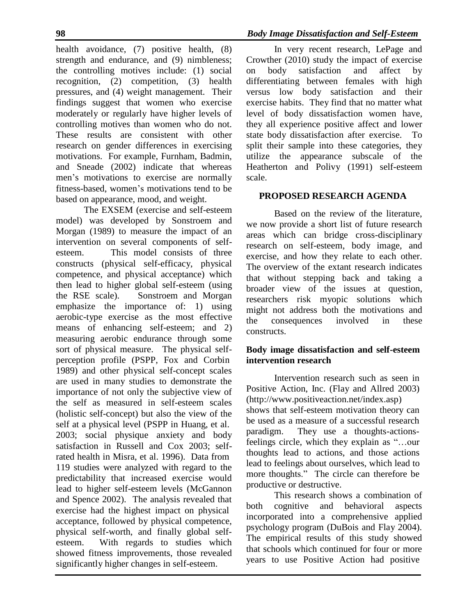health avoidance, (7) positive health, (8) strength and endurance, and (9) nimbleness; the controlling motives include: (1) social recognition, (2) competition, (3) health pressures, and (4) weight management. Their findings suggest that women who exercise moderately or regularly have higher levels of controlling motives than women who do not. These results are consistent with other research on gender differences in exercising motivations. For example, Furnham, Badmin, and Sneade (2002) indicate that whereas men's motivations to exercise are normally fitness-based, women's motivations tend to be based on appearance, mood, and weight.

The EXSEM (exercise and self-esteem model) was developed by Sonstroem and Morgan (1989) to measure the impact of an intervention on several components of selfesteem. This model consists of three constructs (physical self-efficacy, physical competence, and physical acceptance) which then lead to higher global self-esteem (using the RSE scale). Sonstroem and Morgan emphasize the importance of: 1) using aerobic-type exercise as the most effective means of enhancing self-esteem; and 2) measuring aerobic endurance through some sort of physical measure. The physical selfperception profile (PSPP, Fox and Corbin 1989) and other physical self-concept scales are used in many studies to demonstrate the importance of not only the subjective view of the self as measured in self-esteem scales (holistic self-concept) but also the view of the self at a physical level (PSPP in Huang, et al. 2003; social physique anxiety and body satisfaction in Russell and Cox 2003; selfrated health in Misra, et al. 1996). Data from 119 studies were analyzed with regard to the predictability that increased exercise would lead to higher self-esteem levels (McGannon and Spence 2002). The analysis revealed that exercise had the highest impact on physical acceptance, followed by physical competence, physical self-worth, and finally global selfesteem. With regards to studies which showed fitness improvements, those revealed significantly higher changes in self-esteem.

In very recent research, LePage and Crowther (2010) study the impact of exercise on body satisfaction and affect by differentiating between females with high versus low body satisfaction and their exercise habits. They find that no matter what level of body dissatisfaction women have, they all experience positive affect and lower state body dissatisfaction after exercise. To split their sample into these categories, they utilize the appearance subscale of the Heatherton and Polivy (1991) self-esteem scale.

### **PROPOSED RESEARCH AGENDA**

Based on the review of the literature, we now provide a short list of future research areas which can bridge cross-disciplinary research on self-esteem, body image, and exercise, and how they relate to each other. The overview of the extant research indicates that without stepping back and taking a broader view of the issues at question, researchers risk myopic solutions which might not address both the motivations and the consequences involved in these constructs.

### **Body image dissatisfaction and self-esteem intervention research**

Intervention research such as seen in Positive Action, Inc. (Flay and Allred 2003) [\(http://www.positiveaction.net/index.asp\)](http://www.positiveaction.net/index.asp)) shows that self-esteem motivation theory can be used as a measure of a successful research paradigm. They use a thoughts-actionsfeelings circle, which they explain as "…our thoughts lead to actions, and those actions lead to feelings about ourselves, which lead to more thoughts." The circle can therefore be productive or destructive.

This research shows a combination of both cognitive and behavioral aspects incorporated into a comprehensive applied psychology program (DuBois and Flay 2004). The empirical results of this study showed that schools which continued for four or more years to use Positive Action had positive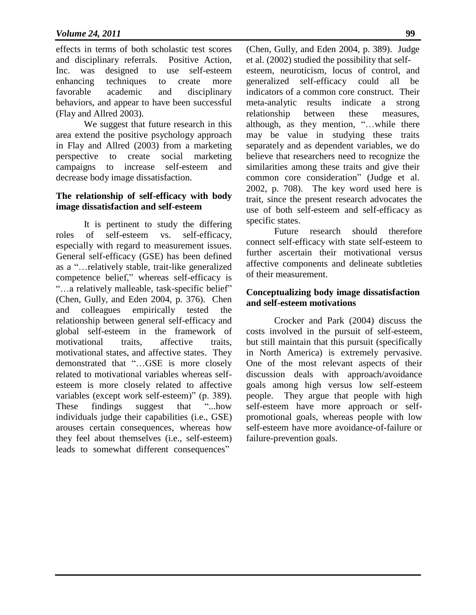effects in terms of both scholastic test scores and disciplinary referrals. Positive Action, Inc. was designed to use self-esteem enhancing techniques to create more favorable academic and disciplinary behaviors, and appear to have been successful (Flay and Allred 2003).

We suggest that future research in this area extend the positive psychology approach in Flay and Allred (2003) from a marketing perspective to create social marketing campaigns to increase self-esteem and decrease body image dissatisfaction.

#### **The relationship of self-efficacy with body image dissatisfaction and self-esteem**

It is pertinent to study the differing roles of self-esteem vs. self-efficacy, especially with regard to measurement issues. General self-efficacy (GSE) has been defined as a "…relatively stable, trait-like generalized competence belief," whereas self-efficacy is "…a relatively malleable, task-specific belief" (Chen, Gully, and Eden 2004, p. 376). Chen and colleagues empirically tested the relationship between general self-efficacy and global self-esteem in the framework of motivational traits, affective traits, motivational states, and affective states. They demonstrated that "…GSE is more closely related to motivational variables whereas selfesteem is more closely related to affective variables (except work self-esteem)" (p. 389). These findings suggest that "...how" individuals judge their capabilities (i.e., GSE) arouses certain consequences, whereas how they feel about themselves (i.e., self-esteem) leads to somewhat different consequences"

(Chen, Gully, and Eden 2004, p. 389). Judge et al. (2002) studied the possibility that selfesteem, neuroticism, locus of control, and generalized self-efficacy could all be indicators of a common core construct. Their meta-analytic results indicate a strong relationship between these measures, although, as they mention, "…while there may be value in studying these traits separately and as dependent variables, we do believe that researchers need to recognize the similarities among these traits and give their common core consideration" (Judge et al. 2002, p. 708). The key word used here is trait, since the present research advocates the use of both self-esteem and self-efficacy as specific states.

Future research should therefore connect self-efficacy with state self-esteem to further ascertain their motivational versus affective components and delineate subtleties of their measurement.

#### **Conceptualizing body image dissatisfaction and self-esteem motivations**

Crocker and Park (2004) discuss the costs involved in the pursuit of self-esteem, but still maintain that this pursuit (specifically in North America) is extremely pervasive. One of the most relevant aspects of their discussion deals with approach/avoidance goals among high versus low self-esteem people. They argue that people with high self-esteem have more approach or selfpromotional goals, whereas people with low self-esteem have more avoidance-of-failure or failure-prevention goals.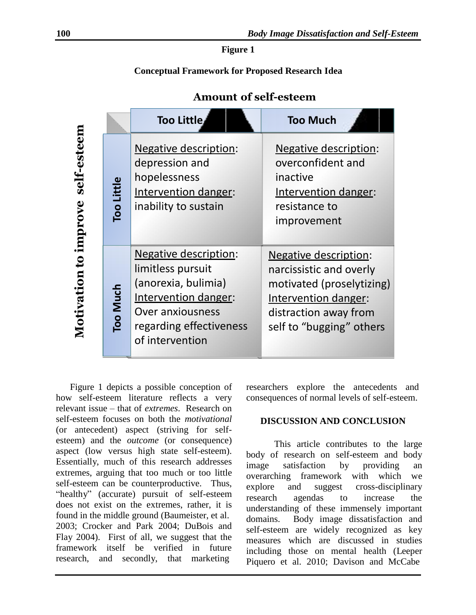**Figure 1**

#### **Conceptual Framework for Proposed Research Idea**

|                        |                   | Too Little                                                                                                                                                                | <b>Too Much</b>                                                                                                                                                   |
|------------------------|-------------------|---------------------------------------------------------------------------------------------------------------------------------------------------------------------------|-------------------------------------------------------------------------------------------------------------------------------------------------------------------|
| self-esteem<br>improve | <b>Too Little</b> | <b>Negative description:</b><br>depression and<br>hopelessness<br>Intervention danger:<br>inability to sustain                                                            | <b>Negative description:</b><br>overconfident and<br>inactive<br>Intervention danger:<br>resistance to<br>improvement                                             |
| Motivation             | Too Much          | <b>Negative description:</b><br>limitless pursuit<br>(anorexia, bulimia)<br>Intervention danger:<br><b>Over anxiousness</b><br>regarding effectiveness<br>of intervention | <b>Negative description:</b><br>narcissistic and overly<br>motivated (proselytizing)<br>Intervention danger:<br>distraction away from<br>self to "bugging" others |

**Amount of self-esteem**

Figure 1 depicts a possible conception of how self-esteem literature reflects a very relevant issue – that of *extremes*. Research on self-esteem focuses on both the *motivational*  (or antecedent) aspect (striving for selfesteem) and the *outcome* (or consequence) aspect (low versus high state self-esteem). Essentially, much of this research addresses extremes, arguing that too much or too little self-esteem can be counterproductive. Thus, "healthy" (accurate) pursuit of self-esteem does not exist on the extremes, rather, it is found in the middle ground (Baumeister, et al. 2003; Crocker and Park 2004; DuBois and Flay 2004). First of all, we suggest that the framework itself be verified in future research, and secondly, that marketing

researchers explore the antecedents and consequences of normal levels of self-esteem.

#### **DISCUSSION AND CONCLUSION**

This article contributes to the large body of research on self-esteem and body image satisfaction by providing an overarching framework with which we explore and suggest cross-disciplinary research agendas to increase the understanding of these immensely important domains. Body image dissatisfaction and self-esteem are widely recognized as key measures which are discussed in studies including those on mental health (Leeper Piquero et al. 2010; Davison and McCabe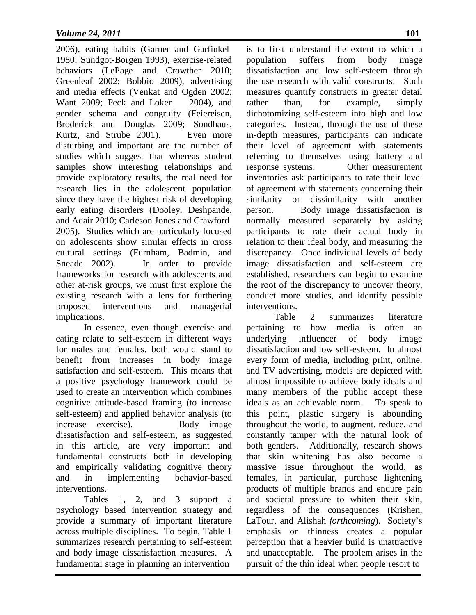2006), eating habits (Garner and Garfinkel 1980; Sundgot-Borgen 1993), exercise-related behaviors (LePage and Crowther 2010; Greenleaf 2002; Bobbio 2009), advertising and media effects (Venkat and Ogden 2002; Want 2009; Peck and Loken 2004), and gender schema and congruity (Feiereisen, Broderick and Douglas 2009; Sondhaus, Kurtz, and Strube 2001). Even more disturbing and important are the number of studies which suggest that whereas student samples show interesting relationships and provide exploratory results, the real need for research lies in the adolescent population since they have the highest risk of developing early eating disorders (Dooley, Deshpande, and Adair 2010; Carleson Jones and Crawford 2005). Studies which are particularly focused on adolescents show similar effects in cross cultural settings (Furnham, Badmin, and Sneade 2002). In order to provide frameworks for research with adolescents and other at-risk groups, we must first explore the existing research with a lens for furthering proposed interventions and managerial implications.

In essence, even though exercise and eating relate to self-esteem in different ways for males and females, both would stand to benefit from increases in body image satisfaction and self-esteem. This means that a positive psychology framework could be used to create an intervention which combines cognitive attitude-based framing (to increase self-esteem) and applied behavior analysis (to increase exercise). Body image dissatisfaction and self-esteem, as suggested in this article, are very important and fundamental constructs both in developing and empirically validating cognitive theory and in implementing behavior-based interventions.

Tables 1, 2, and 3 support a psychology based intervention strategy and provide a summary of important literature across multiple disciplines. To begin, Table 1 summarizes research pertaining to self-esteem and body image dissatisfaction measures. A fundamental stage in planning an intervention

is to first understand the extent to which a population suffers from body image dissatisfaction and low self-esteem through the use research with valid constructs. Such measures quantify constructs in greater detail rather than, for example, simply dichotomizing self-esteem into high and low categories. Instead, through the use of these in-depth measures, participants can indicate their level of agreement with statements referring to themselves using battery and response systems. Other measurement inventories ask participants to rate their level of agreement with statements concerning their similarity or dissimilarity with another person. Body image dissatisfaction is normally measured separately by asking participants to rate their actual body in relation to their ideal body, and measuring the discrepancy. Once individual levels of body image dissatisfaction and self-esteem are established, researchers can begin to examine the root of the discrepancy to uncover theory, conduct more studies, and identify possible interventions.

Table 2 summarizes literature pertaining to how media is often an underlying influencer of body image dissatisfaction and low self-esteem. In almost every form of media, including print, online, and TV advertising, models are depicted with almost impossible to achieve body ideals and many members of the public accept these ideals as an achievable norm. To speak to this point, plastic surgery is abounding throughout the world, to augment, reduce, and constantly tamper with the natural look of both genders. Additionally, research shows that skin whitening has also become a massive issue throughout the world, as females, in particular, purchase lightening products of multiple brands and endure pain and societal pressure to whiten their skin, regardless of the consequences (Krishen, LaTour, and Alishah *forthcoming*). Society's emphasis on thinness creates a popular perception that a heavier build is unattractive and unacceptable. The problem arises in the pursuit of the thin ideal when people resort to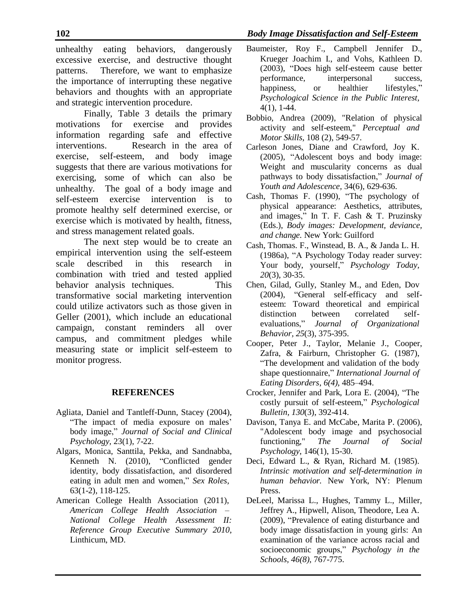unhealthy eating behaviors, dangerously excessive exercise, and destructive thought patterns. Therefore, we want to emphasize the importance of interrupting these negative behaviors and thoughts with an appropriate and strategic intervention procedure.

Finally, Table 3 details the primary motivations for exercise and provides information regarding safe and effective interventions. Research in the area of exercise, self-esteem, and body image suggests that there are various motivations for exercising, some of which can also be unhealthy. The goal of a body image and self-esteem exercise intervention is to promote healthy self determined exercise, or exercise which is motivated by health, fitness, and stress management related goals.

The next step would be to create an empirical intervention using the self-esteem scale described in this research in combination with tried and tested applied behavior analysis techniques. This transformative social marketing intervention could utilize activators such as those given in Geller (2001), which include an educational campaign, constant reminders all over campus, and commitment pledges while measuring state or implicit self-esteem to monitor progress.

### **REFERENCES**

- Agliata, Daniel and Tantleff-Dunn, Stacey (2004), "The impact of media exposure on males' body image," *Journal of Social and Clinical Psychology,* 23(1), 7-22.
- Algars, Monica, Santtila, Pekka, and Sandnabba, Kenneth N. (2010), "Conflicted gender identity, body dissatisfaction, and disordered eating in adult men and women," *Sex Roles,* 63(1-2), 118-125.
- American College Health Association (2011), *American College Health Association – National College Health Assessment II: Reference Group Executive Summary 2010*, Linthicum, MD.
- Baumeister, Roy F., Campbell Jennifer D., Krueger Joachim I., and Vohs, Kathleen D. (2003), "Does high self-esteem cause better performance, interpersonal success, happiness, or healthier lifestyles," *Psychological Science in the Public Interest,* 4(1), 1-44.
- Bobbio, Andrea (2009), "Relation of physical activity and self-esteem," *Perceptual and Motor Skills*, 108 (2), 549-57.
- Carleson Jones, Diane and Crawford, Joy K. (2005), "Adolescent boys and body image: Weight and muscularity concerns as dual pathways to body dissatisfaction," *Journal of Youth and Adolescence,* 34(6), 629-636.
- Cash, Thomas F. (1990), "The psychology of physical appearance: Aesthetics, attributes, and images," In T. F. Cash & T. Pruzinsky (Eds.), *Body images: Development, deviance, and change.* New York: Guilford
- Cash, Thomas. F., Winstead, B. A., & Janda L. H. (1986a), "A Psychology Today reader survey: Your body, yourself," *Psychology Today, 20*(3), 30-35.
- Chen, Gilad, Gully, Stanley M., and Eden, Dov (2004), "General self-efficacy and selfesteem: Toward theoretical and empirical distinction between correlated selfevaluations," *Journal of Organizational Behavior, 25*(3), 375-395.
- Cooper, Peter J., Taylor, Melanie J., Cooper, Zafra, & Fairburn, Christopher G. (1987), "The development and validation of the body shape questionnaire," *International Journal of Eating Disorders*, *6(4)*, 485–494.
- Crocker, Jennifer and Park, Lora E. (2004), "The costly pursuit of self-esteem," *Psychological Bulletin, 130*(3), 392-414.
- Davison, Tanya E. and McCabe, Marita P. (2006), "Adolescent body image and psychosocial functioning," *The Journal of Social Psychology*, 146(1), 15-30.
- Deci, Edward L., & Ryan, Richard M. (1985). *Intrinsic motivation and self-determination in human behavior.* New York, NY: Plenum Press.
- DeLeel, Marissa L., Hughes, Tammy L., Miller, Jeffrey A., Hipwell, Alison, Theodore, Lea A. (2009), "Prevalence of eating disturbance and body image dissatisfaction in young girls: An examination of the variance across racial and socioeconomic groups," *Psychology in the Schools, 46(8),* 767-775.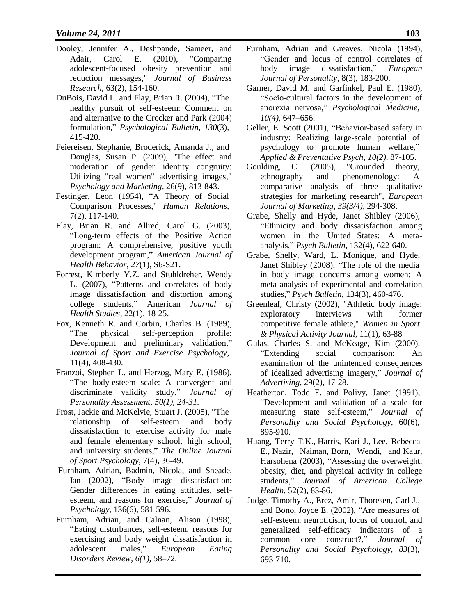- Dooley, Jennifer A., Deshpande, Sameer, and Adair, Carol E. (2010), "Comparing adolescent-focused obesity prevention and reduction messages," *Journal of Business Research*, 63(2), 154-160.
- DuBois, David L. and Flay, Brian R. (2004), "The healthy pursuit of self-esteem: Comment on and alternative to the Crocker and Park (2004) formulation," *Psychological Bulletin, 130*(3), 415-420.
- Feiereisen, Stephanie, Broderick, Amanda J., and Douglas, Susan P. (2009), "The effect and moderation of gender identity congruity: Utilizing "real women" advertising images," *Psychology and Marketing*, 26(9), 813-843.
- Festinger, Leon (1954), "A Theory of Social Comparison Processes," *Human Relations,* 7(2), 117-140.
- Flay, Brian R. and Allred, Carol G. (2003), "Long-term effects of the Positive Action program: A comprehensive, positive youth development program," *American Journal of Health Behavior, 27*(1), S6-S21.
- Forrest, Kimberly Y.Z. and Stuhldreher, Wendy L. (2007), "Patterns and correlates of body image dissatisfaction and distortion among college students," American *Journal of Health Studies,* 22(1), 18-25.
- Fox, Kenneth R. and Corbin, Charles B. (1989), "The physical self-perception profile: Development and preliminary validation," *Journal of Sport and Exercise Psychology*, 11(4), 408-430.
- Franzoi, Stephen L. and Herzog, Mary E. (1986), "The body-esteem scale: A convergent and discriminate validity study," *Journal of Personality Assessment, 50(1), 24-31.*
- Frost, Jackie and McKelvie, Stuart J. (2005), "The relationship of self-esteem and body dissatisfaction to exercise activity for male and female elementary school, high school, and university students," *The Online Journal of Sport Psychology,* 7(4), 36-49.
- Furnham, Adrian, Badmin, Nicola, and Sneade, Ian (2002), "Body image dissatisfaction: Gender differences in eating attitudes, selfesteem, and reasons for exercise," *Journal of Psychology,* 136(6), 581-596.
- Furnham, Adrian, and Calnan, Alison (1998), "Eating disturbances, self-esteem, reasons for exercising and body weight dissatisfaction in adolescent males," *European Eating Disorders Review, 6(1),* 58–72.
- Furnham, Adrian and Greaves, Nicola (1994), "Gender and locus of control correlates of body image dissatisfaction," *European Journal of Personality,* 8(3), 183-200.
- Garner, David M. and Garfinkel, Paul E. (1980), "Socio-cultural factors in the development of anorexia nervosa," *Psychological Medicine, 10(4),* 647–656.
- Geller, E. Scott (2001), "Behavior-based safety in industry: Realizing large-scale potential of psychology to promote human welfare," *Applied & Preventative Psych, 10(2)*, 87-105.
- Goulding, C. (2005), "Grounded theory, ethnography and phenomenology: A comparative analysis of three qualitative strategies for marketing research", *European Journal of Marketing*, *39(3/4),* 294-308.
- Grabe, Shelly and Hyde, Janet Shibley (2006), "Ethnicity and body dissatisfaction among women in the United States: A metaanalysis," *Psych Bulletin,* 132(4), 622-640.
- Grabe, Shelly, Ward, L. Monique, and Hyde, Janet Shibley (2008), "The role of the media in body image concerns among women: A meta-analysis of experimental and correlation studies," *Psych Bulletin,* 134(3), 460-476.
- Greenleaf, Christy (2002), "Athletic body image: exploratory interviews with former competitive female athlete," *Women in Sport & Physical Activity Journal*, 11(1), 63-88
- Gulas, Charles S. and McKeage, Kim (2000), "Extending social comparison: An examination of the unintended consequences of idealized advertising imagery," *Journal of Advertising,* 29(2), 17-28.
- Heatherton, Todd F. and Polivy, Janet (1991), "Development and validation of a scale for measuring state self-esteem," *Journal of Personality and Social Psychology*, 60(6), 895-910.
- Huang, Terry T.K., Harris, Kari J., Lee, Rebecca E., Nazir, Naiman, Born, Wendi, and Kaur, Harsohena (2003), "Assessing the overweight, obesity, diet, and physical activity in college students," *Journal of American College Health.* 52(2), 83-86.
- Judge, Timothy A., Erez, Amir, Thoresen, Carl J., and Bono, Joyce E. (2002), "Are measures of self-esteem, neuroticism, locus of control, and generalized self-efficacy indicators of a common core construct?," *Journal of Personality and Social Psychology, 83*(3), 693-710.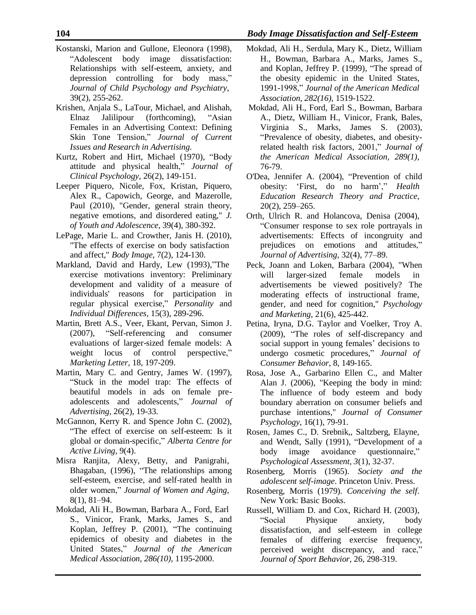- Kostanski, Marion and Gullone, Eleonora (1998), "Adolescent body image dissatisfaction: Relationships with self-esteem, anxiety, and depression controlling for body mass," *Journal of Child Psychology and Psychiatry,* 39(2), 255-262.
- Krishen, Anjala S., LaTour, Michael, and Alishah, Elnaz Jalilipour (forthcoming), "Asian Females in an Advertising Context: Defining Skin Tone Tension," *Journal of Current Issues and Research in Advertising.*
- Kurtz, Robert and Hirt, Michael (1970), "Body attitude and physical health," *Journal of Clinical Psychology,* 26(2), 149-151.
- Leeper Piquero, Nicole, Fox, Kristan, Piquero, Alex R., Capowich, George, and Mazerolle, Paul (2010), "Gender, general strain theory, negative emotions, and disordered eating," *J. of Youth and Adolescence*, 39(4), 380-392.
- LePage, Marie L. and Crowther, Janis H. (2010), "The effects of exercise on body satisfaction and affect," *Body Image*, 7(2), 124-130.
- Markland, David and Hardy, Lew (1993),"The exercise motivations inventory: Preliminary development and validity of a measure of individuals' reasons for participation in regular physical exercise," *Personality* and *Individual Differences,* 15(3), 289-296.
- Martin, Brett A.S., Veer, Ekant, Pervan, Simon J. (2007), "Self-referencing and consumer evaluations of larger-sized female models: A weight locus of control perspective," *Marketing Letter,* 18, 197-209.
- Martin, Mary C. and Gentry, James W. (1997), "Stuck in the model trap: The effects of beautiful models in ads on female preadolescents and adolescents," *Journal of Advertising,* 26(2), 19-33.
- McGannon, Kerry R. and Spence John C. (2002), "The effect of exercise on self-esteem: Is it global or domain-specific," *Alberta Centre for Active Living,* 9(4).
- Misra Ranjita, Alexy, Betty, and Panigrahi, Bhagaban, (1996), "The relationships among self-esteem, exercise, and self-rated health in older women," *Journal of Women and Aging*, 8(1), 81–94.
- Mokdad, Ali H., Bowman, Barbara A., Ford, Earl S., Vinicor, Frank, Marks, James S., and Koplan, Jeffrey P. (2001), "The continuing epidemics of obesity and diabetes in the United States," *Journal of the American Medical Association, 286(10)*, 1195-2000.
- Mokdad, Ali H., Serdula, Mary K., Dietz, William H., Bowman, Barbara A., Marks, James S., and Koplan, Jeffrey P. (1999), "The spread of the obesity epidemic in the United States, 1991-1998," *Journal of the American Medical Association, 282(16)*, 1519-1522.
- Mokdad, Ali H., Ford, Earl S., Bowman, Barbara A., Dietz, William H., Vinicor, Frank, Bales, Virginia S., Marks, James S. (2003), "Prevalence of obesity, diabetes, and obesityrelated health risk factors, 2001," *Journal of the American Medical Association, 289(1)*, 76-79.
- O'Dea, Jennifer A. (2004), "Prevention of child obesity: 'First, do no harm'," *Health Education Research Theory and Practice,* 20(2), 259–265.
- Orth, Ulrich R. and Holancova, Denisa (2004), "Consumer response to sex role portrayals in advertisements: Effects of incongruity and prejudices on emotions and attitudes," *Journal of Advertising*, 32(4), 77–89.
- Peck, Joann and Loken, Barbara (2004), "When will larger-sized female models in advertisements be viewed positively? The moderating effects of instructional frame, gender, and need for cognition," *Psychology and Marketing*, 21(6), 425-442.
- Petina, Iryna, D.G. Taylor and Voelker, Troy A. (2009), "The roles of self-discrepancy and social support in young females' decisions to undergo cosmetic procedures," *Journal of Consumer Behavior,* 8, 149-165.
- Rosa, Jose A., Garbarino Ellen C., and Malter Alan J. (2006), "Keeping the body in mind: The influence of body esteem and body boundary aberration on consumer beliefs and purchase intentions," *Journal of Consumer Psychology*, 16(1), 79-91.
- Rosen, James C., D. Srebnik,, Saltzberg, Elayne, and Wendt, Sally (1991), "Development of a body image avoidance questionnaire," *Psychological Assessment, 3*(1), 32-37.
- Rosenberg, Morris (1965). *Society and the adolescent self-image*. Princeton Univ. Press.
- Rosenberg, Morris (1979). *Conceiving the self*. New York: Basic Books.
- Russell, William D. and Cox, Richard H. (2003), "Social Physique anxiety, body dissatisfaction, and self-esteem in college females of differing exercise frequency, perceived weight discrepancy, and race," *Journal of Sport Behavior,* 26, 298-319.